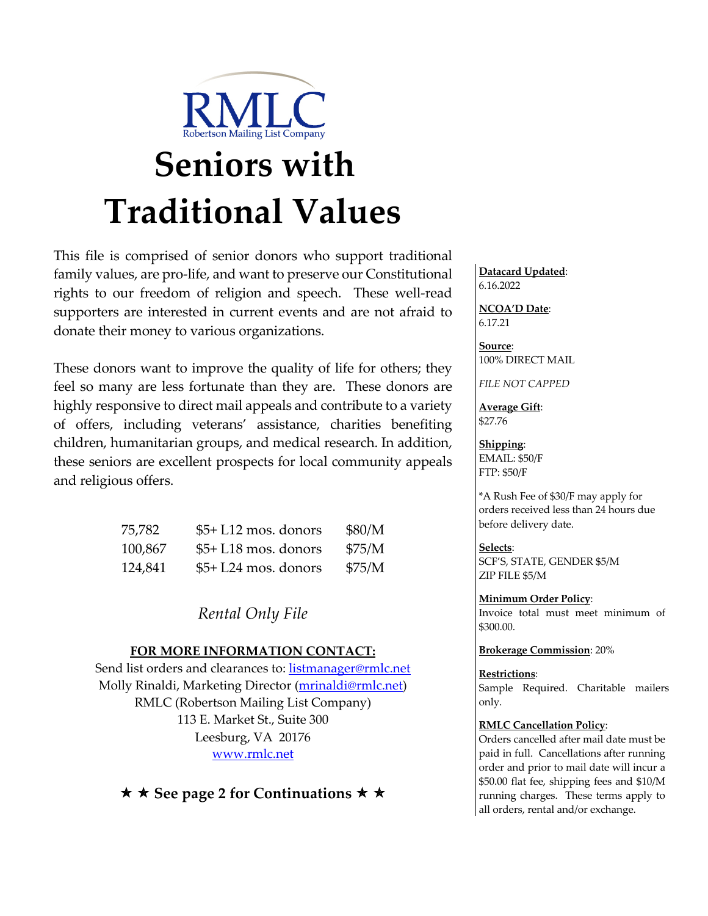

# **Seniors with Traditional Values**

This file is comprised of senior donors who support traditional family values, are pro-life, and want to preserve our Constitutional rights to our freedom of religion and speech. These well-read supporters are interested in current events and are not afraid to donate their money to various organizations.

These donors want to improve the quality of life for others; they feel so many are less fortunate than they are. These donors are highly responsive to direct mail appeals and contribute to a variety of offers, including veterans' assistance, charities benefiting children, humanitarian groups, and medical research. In addition, these seniors are excellent prospects for local community appeals and religious offers.

| 75,782  | $$5+L12$ mos. donors  | \$80/M |
|---------|-----------------------|--------|
| 100,867 | $$5+L18$ mos. donors  | \$75/M |
| 124,841 | $$5+ L24$ mos. donors | \$75/M |

*Rental Only File*

### **FOR MORE INFORMATION CONTACT:**

Send list orders and clearances to: listmanager@rmlc.net Molly Rinaldi, Marketing Director (mrinaldi@rmlc.net) RMLC (Robertson Mailing List Company) 113 E. Market St., Suite 300 Leesburg, VA 20176 www.rmlc.net

**★ ★ See page 2 for Continuations ★ ★** 

**Datacard Updated**: 6.16.2022

**NCOA'D Date**: 6.17.21

**Source**: 100% DIRECT MAIL

*FILE NOT CAPPED*

**Average Gift**: \$27.76

**Shipping**: EMAIL: \$50/F FTP: \$50/F

\*A Rush Fee of \$30/F may apply for orders received less than 24 hours due before delivery date.

**Selects**: SCF'S, STATE, GENDER \$5/M ZIP FILE \$5/M

**Minimum Order Policy**: Invoice total must meet minimum of \$300.00.

**Brokerage Commission**: 20%

#### **Restrictions**:

Sample Required. Charitable mailers only.

#### **RMLC Cancellation Policy**:

Orders cancelled after mail date must be paid in full. Cancellations after running order and prior to mail date will incur a \$50.00 flat fee, shipping fees and \$10/M running charges. These terms apply to all orders, rental and/or exchange.